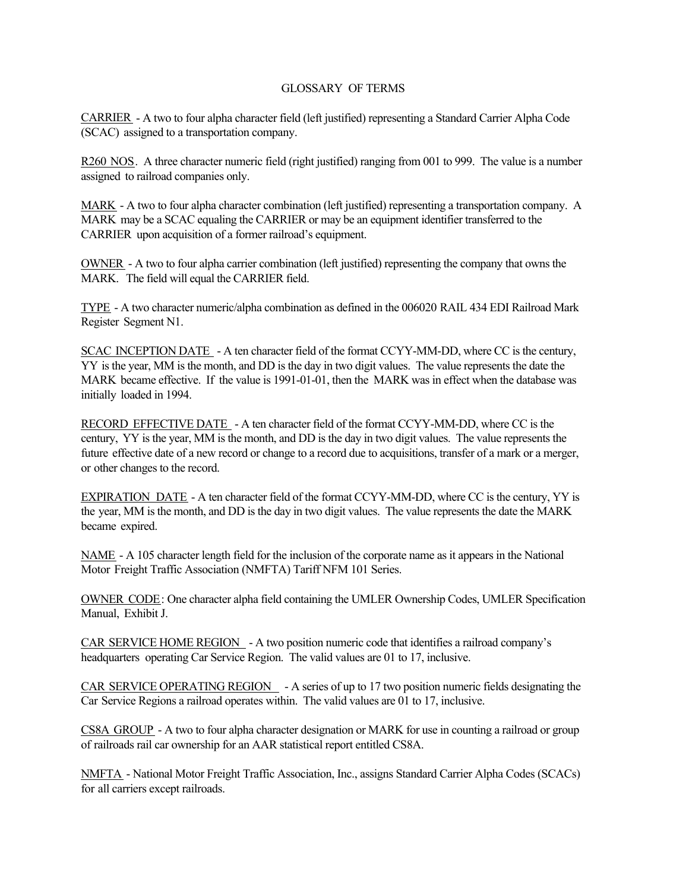## GLOSSARY OF TERMS

CARRIER - A two to four alpha character field (left justified) representing a Standard Carrier Alpha Code (SCAC) assigned to a transportation company.

R260 NOS. A three character numeric field (right justified) ranging from 001 to 999. The value is a number assigned to railroad companies only.

MARK - A two to four alpha character combination (left justified) representing a transportation company. A MARK may be a SCAC equaling the CARRIER or may be an equipment identifier transferred to the CARRIER upon acquisition of a former railroad's equipment.

OWNER - A two to four alpha carrier combination (left justified) representing the company that owns the MARK. The field will equal the CARRIER field.

TYPE - A two character numeric/alpha combination as defined in the 006020 RAIL 434 EDI Railroad Mark Register Segment N1.

SCAC INCEPTION DATE - A ten character field of the format CCYY-MM-DD, where CC is the century, YY is the year, MM is the month, and DD is the day in two digit values. The value represents the date the MARK became effective. If the value is 1991-01-01, then the MARK was in effect when the database was initially loaded in 1994.

RECORD EFFECTIVE DATE - A ten character field of the format CCYY-MM-DD, where CC is the century, YY is the year, MM is the month, and DD is the day in two digit values. The value represents the future effective date of a new record or change to a record due to acquisitions, transfer of a mark or a merger, or other changes to the record.

EXPIRATION DATE - A ten character field of the format CCYY-MM-DD, where CC is the century, YY is the year, MM is the month, and DD is the day in two digit values. The value represents the date the MARK became expired.

NAME - A 105 character length field for the inclusion of the corporate name as it appears in the National Motor Freight Traffic Association (NMFTA) Tariff NFM 101 Series.

OWNER CODE: One character alpha field containing the UMLER Ownership Codes, UMLER Specification Manual, Exhibit J.

CAR SERVICE HOME REGION - A two position numeric code that identifies a railroad company's headquarters operating Car Service Region. The valid values are 01 to 17, inclusive.

CAR SERVICE OPERATING REGION - A series of up to 17 two position numeric fields designating the Car Service Regions a railroad operates within. The valid values are 01 to 17, inclusive.

CS8A GROUP - A two to four alpha character designation or MARK for use in counting a railroad or group of railroads rail car ownership for an AAR statistical report entitled CS8A.

NMFTA - National Motor Freight Traffic Association, Inc., assigns Standard Carrier Alpha Codes (SCACs) for all carriers except railroads.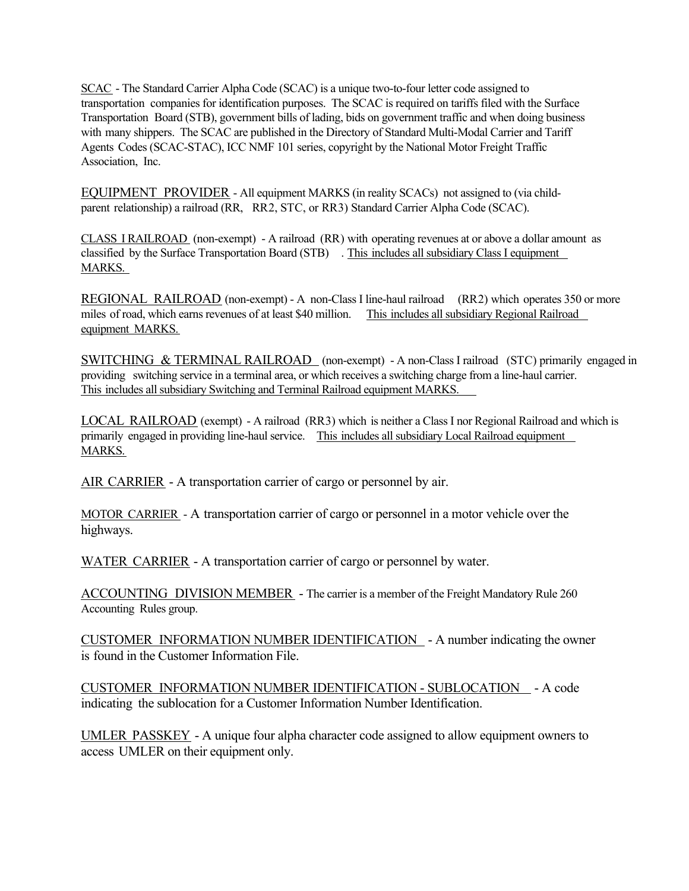SCAC - The Standard Carrier Alpha Code (SCAC) is a unique two-to-four letter code assigned to transportation companies for identification purposes. The SCAC is required on tariffs filed with the Surface Transportation Board (STB), government bills of lading, bids on government traffic and when doing business with many shippers. The SCAC are published in the Directory of Standard Multi-Modal Carrier and Tariff Agents Codes (SCAC-STAC), ICC NMF 101 series, copyright by the National Motor Freight Traffic Association, Inc.

EQUIPMENT PROVIDER - All equipment MARKS (in reality SCACs) not assigned to (via childparent relationship) a railroad (RR, RR2, STC, or RR3) Standard Carrier Alpha Code (SCAC).

CLASS I RAILROAD (non-exempt) - A railroad (RR) with operating revenues at or above a dollar amount as classified by the Surface Transportation Board (STB) . This includes all subsidiary Class I equipment MARKS.

REGIONAL RAILROAD (non-exempt) - A non-Class I line-haul railroad (RR2) which operates 350 or more miles of road, which earns revenues of at least \$40 million. This includes all subsidiary Regional Railroad equipment MARKS.

SWITCHING & TERMINAL RAILROAD (non-exempt) - A non-Class I railroad (STC) primarily engaged in providing switching service in a terminal area, or which receives a switching charge from a line-haul carrier. This includes all subsidiary Switching and Terminal Railroad equipment MARKS.

LOCAL RAILROAD (exempt) - A railroad (RR3) which is neither a Class I nor Regional Railroad and which is primarily engaged in providing line-haul service. This includes all subsidiary Local Railroad equipment MARKS.

AIR CARRIER - A transportation carrier of cargo or personnel by air.

MOTOR CARRIER - A transportation carrier of cargo or personnel in a motor vehicle over the highways.

WATER CARRIER - A transportation carrier of cargo or personnel by water.

ACCOUNTING DIVISION MEMBER - The carrier is a member of the Freight Mandatory Rule 260 Accounting Rules group.

CUSTOMER INFORMATION NUMBER IDENTIFICATION - A number indicating the owner is found in the Customer Information File.

CUSTOMER INFORMATION NUMBER IDENTIFICATION - SUBLOCATION - A code indicating the sublocation for a Customer Information Number Identification.

UMLER PASSKEY - A unique four alpha character code assigned to allow equipment owners to access UMLER on their equipment only.